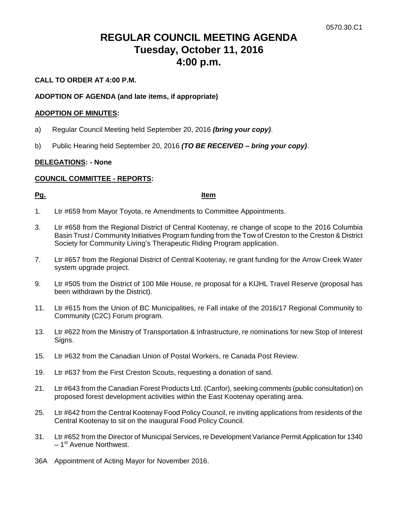# **REGULAR COUNCIL MEETING AGENDA Tuesday, October 11, 2016 4:00 p.m.**

# **CALL TO ORDER AT 4:00 P.M.**

# **ADOPTION OF AGENDA (and late items, if appropriate)**

#### **ADOPTION OF MINUTES:**

- a) Regular Council Meeting held September 20, 2016 *(bring your copy)*.
- b) Public Hearing held September 20, 2016 *(TO BE RECEIVED – bring your copy)*.

# **DELEGATIONS: - None**

# **COUNCIL COMMITTEE - REPORTS:**

#### **Pg. Item**

- 1. Ltr #659 from Mayor Toyota, re Amendments to Committee Appointments.
- 3. Ltr #658 from the Regional District of Central Kootenay, re change of scope to the 2016 Columbia Basin Trust / Community Initiatives Program funding from the Tow of Creston to the Creston & District Society for Community Living's Therapeutic Riding Program application.
- 7. Ltr #657 from the Regional District of Central Kootenay, re grant funding for the Arrow Creek Water system upgrade project.
- 9. Ltr #505 from the District of 100 Mile House, re proposal for a KIJHL Travel Reserve (proposal has been withdrawn by the District).
- 11. Ltr #615 from the Union of BC Municipalities, re Fall intake of the 2016/17 Regional Community to Community (C2C) Forum program.
- 13. Ltr #622 from the Ministry of Transportation & Infrastructure, re nominations for new Stop of Interest Signs.
- 15. Ltr #632 from the Canadian Union of Postal Workers, re Canada Post Review.
- 19. Ltr #637 from the First Creston Scouts, requesting a donation of sand.
- 21. Ltr #643 from the Canadian Forest Products Ltd. (Canfor), seeking comments (public consultation) on proposed forest development activities within the East Kootenay operating area.
- 25. Ltr #642 from the Central Kootenay Food Policy Council, re inviting applications from residents of the Central Kootenay to sit on the inaugural Food Policy Council.
- 31. Ltr #652 from the Director of Municipal Services, re Development Variance Permit Application for 1340 – 1<sup>st</sup> Avenue Northwest.
- 36A Appointment of Acting Mayor for November 2016.